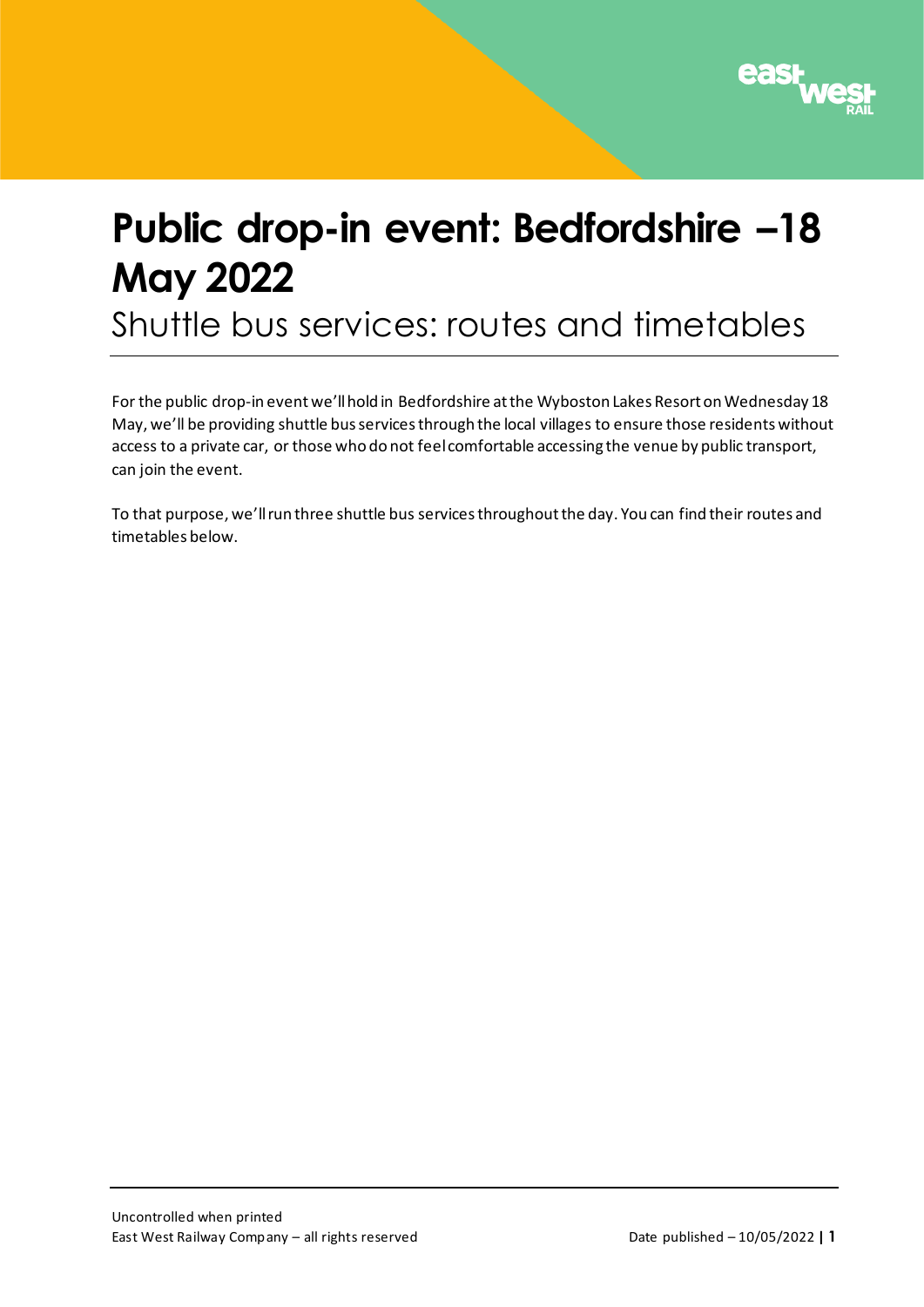

# **Public drop-in event: Bedfordshire –18 May 2022**

Shuttle bus services: routes and timetables

For the public drop-in event we'll hold in Bedfordshire at the Wyboston Lakes Resort on Wednesday 18 May, we'll be providing shuttle bus services through the local villages to ensure those residents without access to a private car, or those who do not feel comfortable accessing the venue by public transport, can join the event.

To that purpose, we'll run three shuttle bus services throughout the day. You can find their routes and timetables below.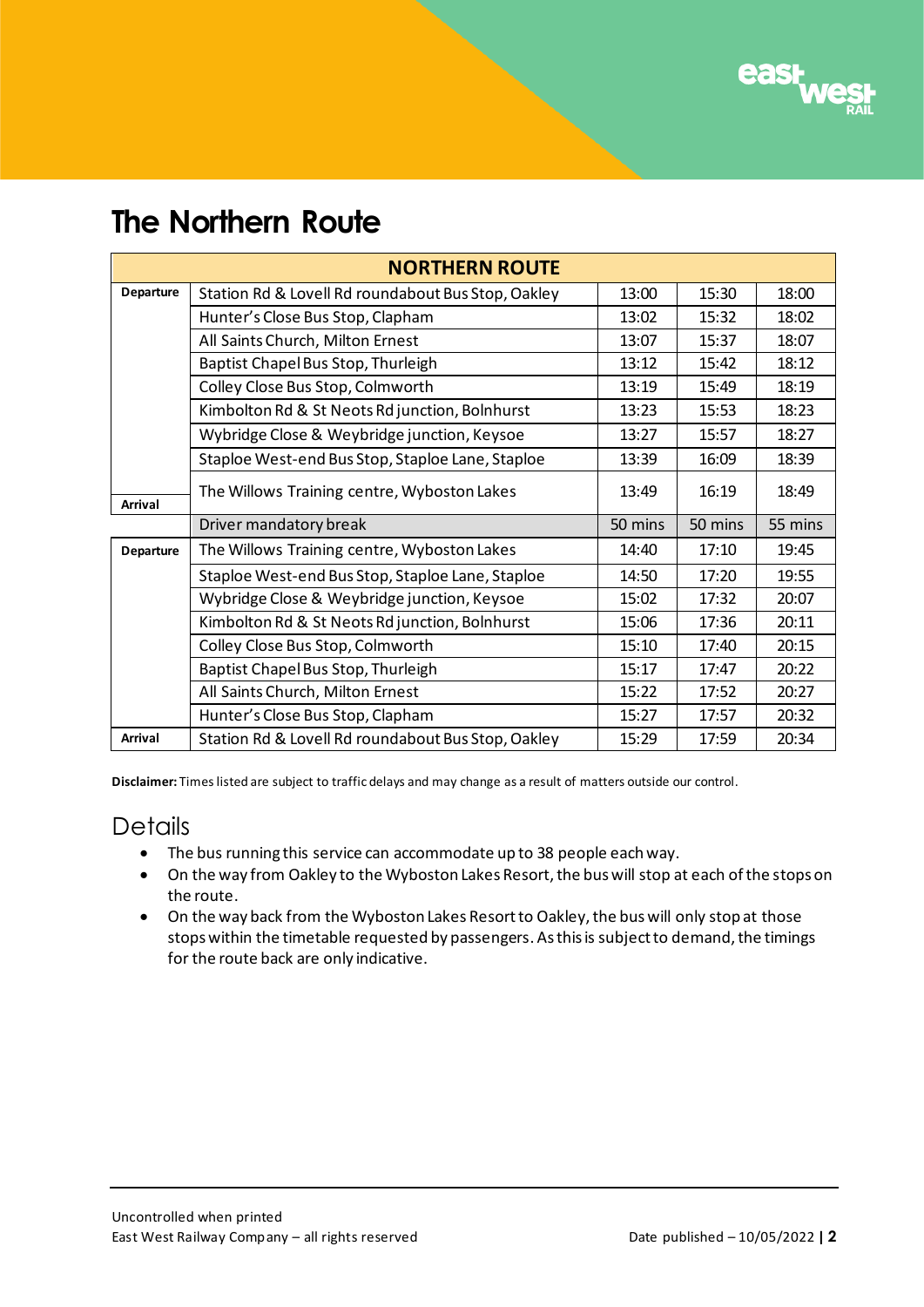

# **The Northern Route**

| <b>NORTHERN ROUTE</b> |                                                    |         |         |         |  |  |  |  |
|-----------------------|----------------------------------------------------|---------|---------|---------|--|--|--|--|
| <b>Departure</b>      | Station Rd & Lovell Rd roundabout Bus Stop, Oakley | 13:00   | 15:30   | 18:00   |  |  |  |  |
|                       | Hunter's Close Bus Stop, Clapham                   | 13:02   | 15:32   | 18:02   |  |  |  |  |
|                       | All Saints Church, Milton Ernest                   | 13:07   | 15:37   | 18:07   |  |  |  |  |
|                       | Baptist Chapel Bus Stop, Thurleigh                 | 13:12   | 15:42   | 18:12   |  |  |  |  |
|                       | Colley Close Bus Stop, Colmworth                   | 13:19   | 15:49   | 18:19   |  |  |  |  |
|                       | Kimbolton Rd & St Neots Rd junction, Bolnhurst     | 13:23   | 15:53   | 18:23   |  |  |  |  |
|                       | Wybridge Close & Weybridge junction, Keysoe        | 13:27   | 15:57   | 18:27   |  |  |  |  |
|                       | Staploe West-end Bus Stop, Staploe Lane, Staploe   | 13:39   | 16:09   | 18:39   |  |  |  |  |
| <b>Arrival</b>        | The Willows Training centre, Wyboston Lakes        | 13:49   | 16:19   | 18:49   |  |  |  |  |
|                       |                                                    |         |         |         |  |  |  |  |
|                       | Driver mandatory break                             | 50 mins | 50 mins | 55 mins |  |  |  |  |
| Departure             | The Willows Training centre, Wyboston Lakes        | 14:40   | 17:10   | 19:45   |  |  |  |  |
|                       | Staploe West-end Bus Stop, Staploe Lane, Staploe   | 14:50   | 17:20   | 19:55   |  |  |  |  |
|                       | Wybridge Close & Weybridge junction, Keysoe        | 15:02   | 17:32   | 20:07   |  |  |  |  |
|                       | Kimbolton Rd & St Neots Rd junction, Bolnhurst     | 15:06   | 17:36   | 20:11   |  |  |  |  |
|                       | Colley Close Bus Stop, Colmworth                   | 15:10   | 17:40   | 20:15   |  |  |  |  |
|                       | Baptist Chapel Bus Stop, Thurleigh                 | 15:17   | 17:47   | 20:22   |  |  |  |  |
|                       | All Saints Church, Milton Ernest                   | 15:22   | 17:52   | 20:27   |  |  |  |  |
|                       | Hunter's Close Bus Stop, Clapham                   | 15:27   | 17:57   | 20:32   |  |  |  |  |

**Disclaimer:** Times listed are subject to traffic delays and may change as a result of matters outside our control.

#### **Details**

- The bus running this service can accommodate up to 38 people each way.
- On the way from Oakley to the Wyboston Lakes Resort, the bus will stop at each of the stops on the route.
- On the way back from the Wyboston Lakes Resort to Oakley, the bus will only stop at those stops within the timetable requested by passengers. As this is subject to demand, the timings for the route back are only indicative.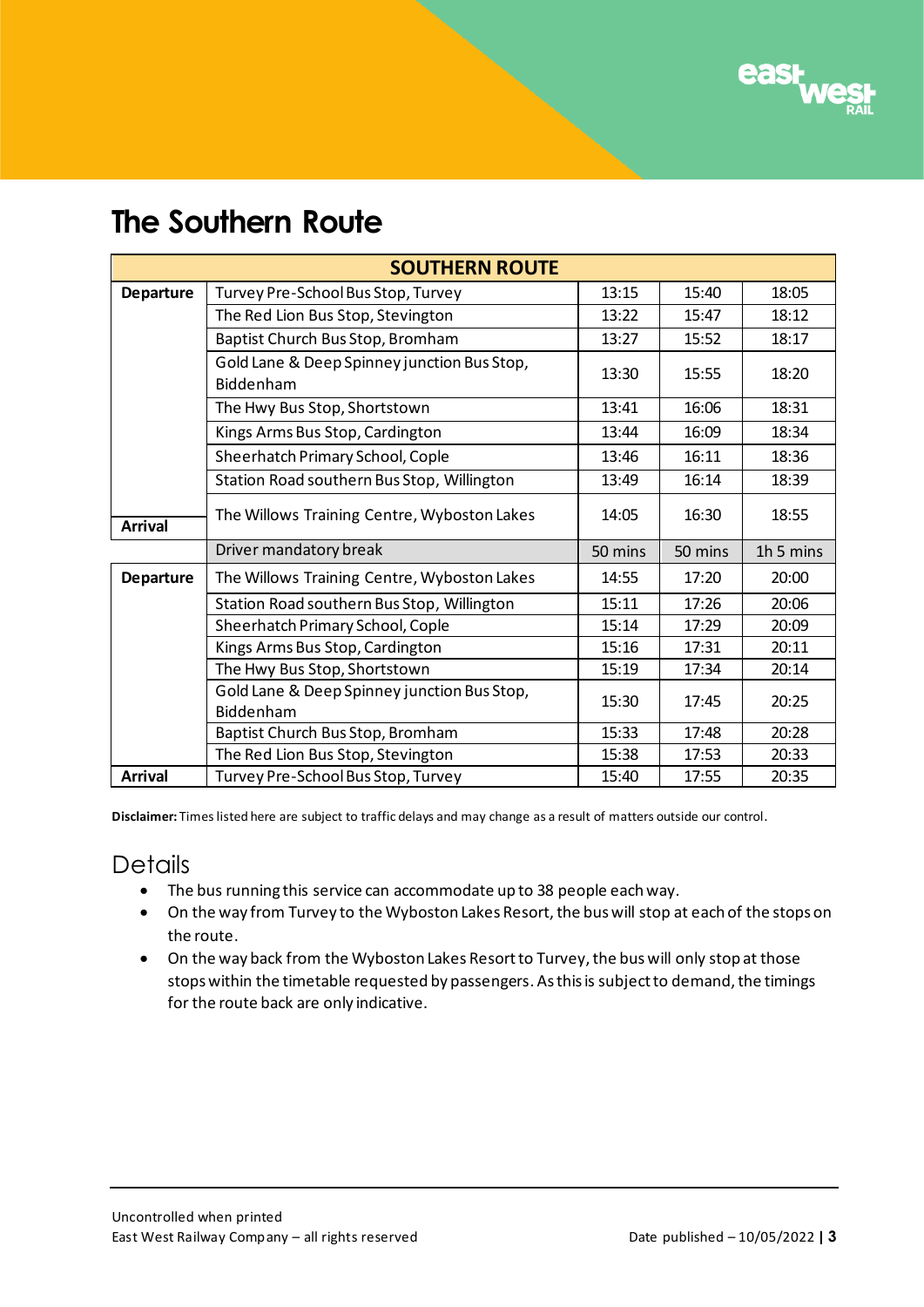

# **The Southern Route**

| <b>SOUTHERN ROUTE</b> |                                                          |         |         |           |  |  |  |  |
|-----------------------|----------------------------------------------------------|---------|---------|-----------|--|--|--|--|
| <b>Departure</b>      | Turvey Pre-School Bus Stop, Turvey                       | 13:15   | 15:40   | 18:05     |  |  |  |  |
|                       | The Red Lion Bus Stop, Stevington                        | 13:22   | 15:47   | 18:12     |  |  |  |  |
|                       | Baptist Church Bus Stop, Bromham                         | 13:27   | 15:52   | 18:17     |  |  |  |  |
|                       | Gold Lane & Deep Spinney junction Bus Stop,<br>Biddenham | 13:30   | 15:55   | 18:20     |  |  |  |  |
|                       | The Hwy Bus Stop, Shortstown                             | 13:41   | 16:06   | 18:31     |  |  |  |  |
|                       | Kings Arms Bus Stop, Cardington                          | 13:44   | 16:09   | 18:34     |  |  |  |  |
|                       | Sheerhatch Primary School, Cople                         | 13:46   | 16:11   | 18:36     |  |  |  |  |
|                       | Station Road southern Bus Stop, Willington               | 13:49   | 16:14   | 18:39     |  |  |  |  |
| <b>Arrival</b>        | The Willows Training Centre, Wyboston Lakes              | 14:05   | 16:30   | 18:55     |  |  |  |  |
|                       | Driver mandatory break                                   | 50 mins | 50 mins | 1h 5 mins |  |  |  |  |
| <b>Departure</b>      | The Willows Training Centre, Wyboston Lakes              | 14:55   | 17:20   | 20:00     |  |  |  |  |
|                       | Station Road southern Bus Stop, Willington               | 15:11   | 17:26   | 20:06     |  |  |  |  |
|                       | Sheerhatch Primary School, Cople                         | 15:14   | 17:29   | 20:09     |  |  |  |  |
|                       | Kings Arms Bus Stop, Cardington                          | 15:16   | 17:31   | 20:11     |  |  |  |  |
|                       | The Hwy Bus Stop, Shortstown                             | 15:19   | 17:34   | 20:14     |  |  |  |  |
|                       | Gold Lane & Deep Spinney junction Bus Stop,              | 15:30   | 17:45   | 20:25     |  |  |  |  |
|                       | Biddenham                                                |         |         |           |  |  |  |  |
|                       | Baptist Church Bus Stop, Bromham                         | 15:33   | 17:48   | 20:28     |  |  |  |  |
|                       | The Red Lion Bus Stop, Stevington                        | 15:38   | 17:53   | 20:33     |  |  |  |  |
| <b>Arrival</b>        | Turvey Pre-School Bus Stop, Turvey                       | 15:40   | 17:55   | 20:35     |  |  |  |  |

**Disclaimer:** Times listed here are subject to traffic delays and may change as a result of matters outside our control.

#### **Details**

- The bus running this service can accommodate up to 38 people each way.
- On the way from Turvey to the Wyboston Lakes Resort, the bus will stop at each of the stops on the route.
- On the way back from the Wyboston Lakes Resort to Turvey, the bus will only stop at those stops within the timetable requested by passengers. As this is subject to demand, the timings for the route back are only indicative.